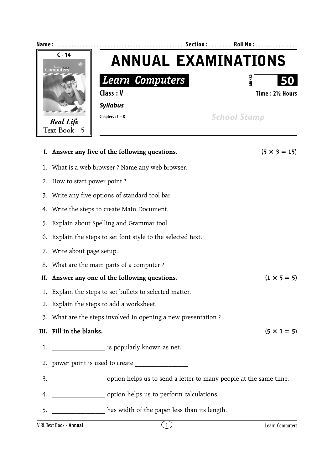

- 1. Explain the steps to set bullets to selected matter.
- 2. Explain the steps to add a worksheet.
- 3. What are the steps involved in opening a new presentation ?

## **III.** Fill in the blanks.  $(5 \times 1 = 5)$

- 1. **domain is popularly known as net.**
- 2. power point is used to create
- 3.  $\qquad \qquad$  option helps us to send a letter to many people at the same time.
- 4. \_\_\_\_\_\_\_\_\_\_\_\_\_\_\_\_ option helps us to perform calculations.
- 5. \_\_\_\_\_\_\_\_\_\_\_\_\_\_\_\_ has width of the paper less than its length.

V RL Text Book - **Annual** 2 Learn Computers